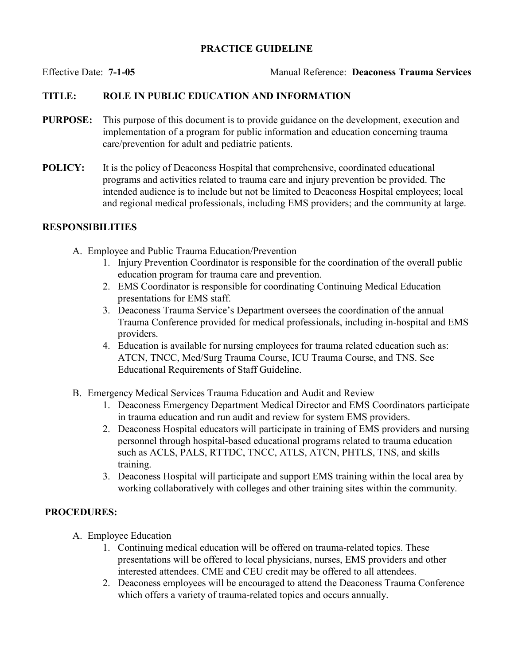## PRACTICE GUIDELINE

Effective Date: 7-1-05 Manual Reference: Deaconess Trauma Services

# TITLE: ROLE IN PUBLIC EDUCATION AND INFORMATION

- PURPOSE: This purpose of this document is to provide guidance on the development, execution and implementation of a program for public information and education concerning trauma care/prevention for adult and pediatric patients.
- POLICY: It is the policy of Deaconess Hospital that comprehensive, coordinated educational programs and activities related to trauma care and injury prevention be provided. The intended audience is to include but not be limited to Deaconess Hospital employees; local and regional medical professionals, including EMS providers; and the community at large.

### RESPONSIBILITIES

- A. Employee and Public Trauma Education/Prevention
	- 1. Injury Prevention Coordinator is responsible for the coordination of the overall public education program for trauma care and prevention.
	- 2. EMS Coordinator is responsible for coordinating Continuing Medical Education presentations for EMS staff.
	- 3. Deaconess Trauma Service's Department oversees the coordination of the annual Trauma Conference provided for medical professionals, including in-hospital and EMS providers.
	- 4. Education is available for nursing employees for trauma related education such as: ATCN, TNCC, Med/Surg Trauma Course, ICU Trauma Course, and TNS. See Educational Requirements of Staff Guideline.
- B. Emergency Medical Services Trauma Education and Audit and Review
	- 1. Deaconess Emergency Department Medical Director and EMS Coordinators participate in trauma education and run audit and review for system EMS providers.
	- 2. Deaconess Hospital educators will participate in training of EMS providers and nursing personnel through hospital-based educational programs related to trauma education such as ACLS, PALS, RTTDC, TNCC, ATLS, ATCN, PHTLS, TNS, and skills training.
	- 3. Deaconess Hospital will participate and support EMS training within the local area by working collaboratively with colleges and other training sites within the community.

## PROCEDURES:

- A. Employee Education
	- 1. Continuing medical education will be offered on trauma-related topics. These presentations will be offered to local physicians, nurses, EMS providers and other interested attendees. CME and CEU credit may be offered to all attendees.
	- 2. Deaconess employees will be encouraged to attend the Deaconess Trauma Conference which offers a variety of trauma-related topics and occurs annually.